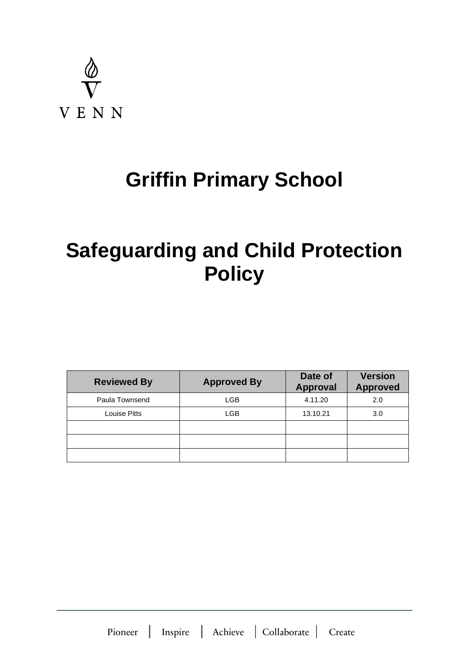

# **Griffin Primary School**

# **Safeguarding and Child Protection Policy**

| <b>Reviewed By</b> | <b>Approved By</b> | Date of<br><b>Approval</b> | <b>Version</b><br><b>Approved</b> |
|--------------------|--------------------|----------------------------|-----------------------------------|
| Paula Townsend     | LGB                | 4.11.20                    | 2.0                               |
| Louise Pitts       | LGB                | 13.10.21                   | 3.0                               |
|                    |                    |                            |                                   |
|                    |                    |                            |                                   |
|                    |                    |                            |                                   |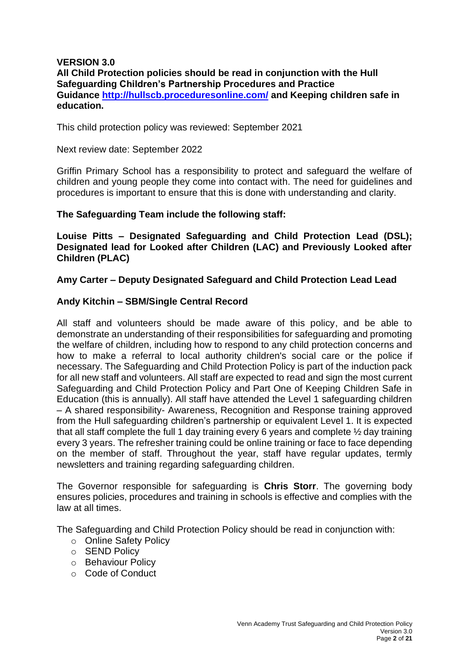#### **VERSION 3.0**

**All Child Protection policies should be read in conjunction with the Hull Safeguarding Children's Partnership Procedures and Practice Guidance <http://hullscb.proceduresonline.com/> and Keeping children safe in education.**

This child protection policy was reviewed: September 2021

Next review date: September 2022

Griffin Primary School has a responsibility to protect and safeguard the welfare of children and young people they come into contact with. The need for guidelines and procedures is important to ensure that this is done with understanding and clarity.

#### **The Safeguarding Team include the following staff:**

**Louise Pitts – Designated Safeguarding and Child Protection Lead (DSL); Designated lead for Looked after Children (LAC) and Previously Looked after Children (PLAC)**

#### **Amy Carter – Deputy Designated Safeguard and Child Protection Lead Lead**

#### **Andy Kitchin – SBM/Single Central Record**

All staff and volunteers should be made aware of this policy, and be able to demonstrate an understanding of their responsibilities for safeguarding and promoting the welfare of children, including how to respond to any child protection concerns and how to make a referral to local authority children's social care or the police if necessary. The Safeguarding and Child Protection Policy is part of the induction pack for all new staff and volunteers. All staff are expected to read and sign the most current Safeguarding and Child Protection Policy and Part One of Keeping Children Safe in Education (this is annually). All staff have attended the Level 1 safeguarding children – A shared responsibility- Awareness, Recognition and Response training approved from the Hull safeguarding children's partnership or equivalent Level 1. It is expected that all staff complete the full 1 day training every 6 years and complete ½ day training every 3 years. The refresher training could be online training or face to face depending on the member of staff. Throughout the year, staff have regular updates, termly newsletters and training regarding safeguarding children.

The Governor responsible for safeguarding is **Chris Storr**. The governing body ensures policies, procedures and training in schools is effective and complies with the law at all times.

The Safeguarding and Child Protection Policy should be read in conjunction with:

- o Online Safety Policy
- o SEND Policy
- o Behaviour Policy
- o Code of Conduct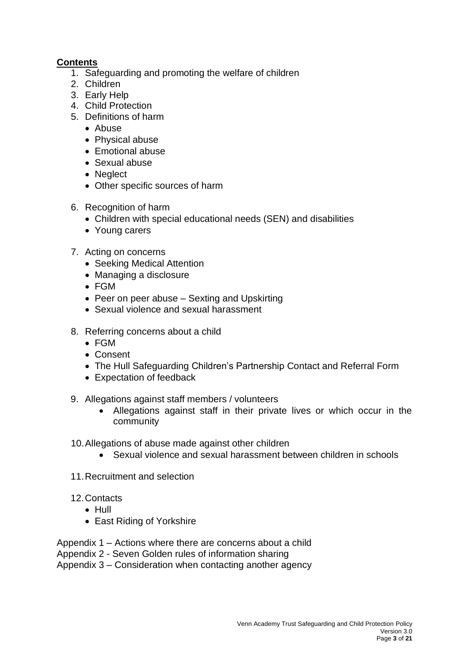# **Contents**

- 1. Safeguarding and promoting the welfare of children
- 2. Children
- 3. Early Help
- 4. Child Protection
- 5. Definitions of harm
	- Abuse
	- Physical abuse
	- Emotional abuse
	- Sexual abuse
	- Neglect
	- Other specific sources of harm
- 6. Recognition of harm
	- Children with special educational needs (SEN) and disabilities
	- Young carers
- 7. Acting on concerns
	- Seeking Medical Attention
	- Managing a disclosure
	- FGM
	- Peer on peer abuse Sexting and Upskirting
	- Sexual violence and sexual harassment
- 8. Referring concerns about a child
	- FGM
	- Consent
	- The Hull Safeguarding Children's Partnership Contact and Referral Form
	- Expectation of feedback
- 9. Allegations against staff members / volunteers
	- Allegations against staff in their private lives or which occur in the community
- 10.Allegations of abuse made against other children
	- Sexual violence and sexual harassment between children in schools
- 11.Recruitment and selection
- 12.Contacts
	- Hull
	- East Riding of Yorkshire
- Appendix 1 Actions where there are concerns about a child
- Appendix 2 Seven Golden rules of information sharing
- Appendix 3 Consideration when contacting another agency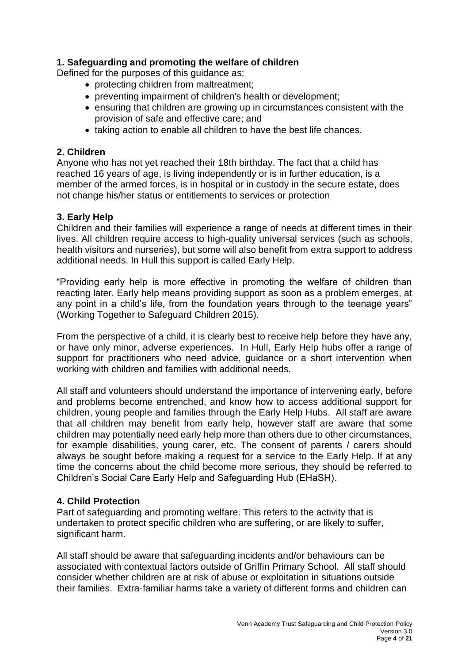# **1. Safeguarding and promoting the welfare of children**

Defined for the purposes of this guidance as:

- protecting children from maltreatment;
- preventing impairment of children's health or development;
- ensuring that children are growing up in circumstances consistent with the provision of safe and effective care; and
- taking action to enable all children to have the best life chances.

## **2. Children**

Anyone who has not yet reached their 18th birthday. The fact that a child has reached 16 years of age, is living independently or is in further education, is a member of the armed forces, is in hospital or in custody in the secure estate, does not change his/her status or entitlements to services or protection

## **3. Early Help**

Children and their families will experience a range of needs at different times in their lives. All children require access to high-quality universal services (such as schools, health visitors and nurseries), but some will also benefit from extra support to address additional needs. In Hull this support is called Early Help.

"Providing early help is more effective in promoting the welfare of children than reacting later. Early help means providing support as soon as a problem emerges, at any point in a child's life, from the foundation years through to the teenage years" (Working Together to Safeguard Children 2015).

From the perspective of a child, it is clearly best to receive help before they have any, or have only minor, adverse experiences. In Hull, Early Help hubs offer a range of support for practitioners who need advice, guidance or a short intervention when working with children and families with additional needs.

All staff and volunteers should understand the importance of intervening early, before and problems become entrenched, and know how to access additional support for children, young people and families through the Early Help Hubs. All staff are aware that all children may benefit from early help, however staff are aware that some children may potentially need early help more than others due to other circumstances, for example disabilities, young carer, etc. The consent of parents / carers should always be sought before making a request for a service to the Early Help. If at any time the concerns about the child become more serious, they should be referred to Children's Social Care Early Help and Safeguarding Hub (EHaSH).

#### **4. Child Protection**

Part of safeguarding and promoting welfare. This refers to the activity that is undertaken to protect specific children who are suffering, or are likely to suffer, significant harm.

All staff should be aware that safeguarding incidents and/or behaviours can be associated with contextual factors outside of Griffin Primary School. All staff should consider whether children are at risk of abuse or exploitation in situations outside their families. Extra-familiar harms take a variety of different forms and children can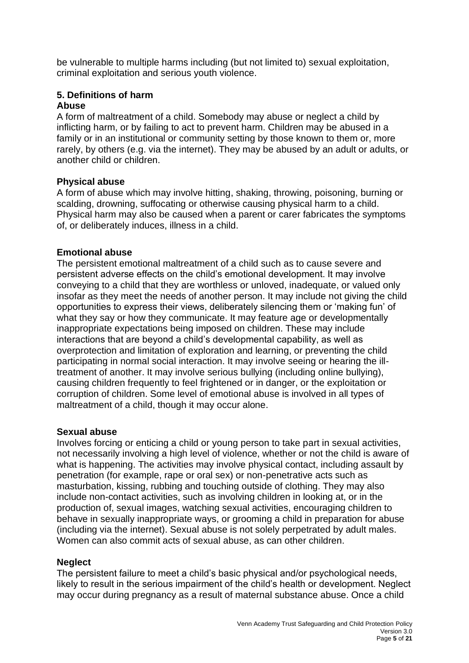be vulnerable to multiple harms including (but not limited to) sexual exploitation, criminal exploitation and serious youth violence.

# **5. Definitions of harm**

### **Abuse**

A form of maltreatment of a child. Somebody may abuse or neglect a child by inflicting harm, or by failing to act to prevent harm. Children may be abused in a family or in an institutional or community setting by those known to them or, more rarely, by others (e.g. via the internet). They may be abused by an adult or adults, or another child or children.

# **Physical abuse**

A form of abuse which may involve hitting, shaking, throwing, poisoning, burning or scalding, drowning, suffocating or otherwise causing physical harm to a child. Physical harm may also be caused when a parent or carer fabricates the symptoms of, or deliberately induces, illness in a child.

## **Emotional abuse**

The persistent emotional maltreatment of a child such as to cause severe and persistent adverse effects on the child's emotional development. It may involve conveying to a child that they are worthless or unloved, inadequate, or valued only insofar as they meet the needs of another person. It may include not giving the child opportunities to express their views, deliberately silencing them or 'making fun' of what they say or how they communicate. It may feature age or developmentally inappropriate expectations being imposed on children. These may include interactions that are beyond a child's developmental capability, as well as overprotection and limitation of exploration and learning, or preventing the child participating in normal social interaction. It may involve seeing or hearing the illtreatment of another. It may involve serious bullying (including online bullying), causing children frequently to feel frightened or in danger, or the exploitation or corruption of children. Some level of emotional abuse is involved in all types of maltreatment of a child, though it may occur alone.

#### **Sexual abuse**

Involves forcing or enticing a child or young person to take part in sexual activities, not necessarily involving a high level of violence, whether or not the child is aware of what is happening. The activities may involve physical contact, including assault by penetration (for example, rape or oral sex) or non-penetrative acts such as masturbation, kissing, rubbing and touching outside of clothing. They may also include non-contact activities, such as involving children in looking at, or in the production of, sexual images, watching sexual activities, encouraging children to behave in sexually inappropriate ways, or grooming a child in preparation for abuse (including via the internet). Sexual abuse is not solely perpetrated by adult males. Women can also commit acts of sexual abuse, as can other children.

# **Neglect**

The persistent failure to meet a child's basic physical and/or psychological needs, likely to result in the serious impairment of the child's health or development. Neglect may occur during pregnancy as a result of maternal substance abuse. Once a child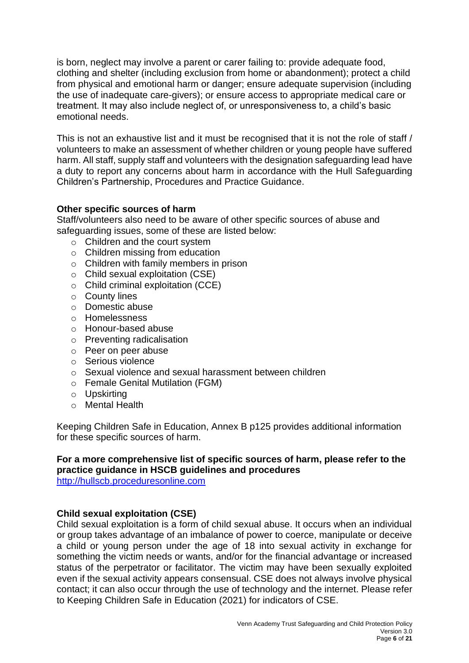is born, neglect may involve a parent or carer failing to: provide adequate food, clothing and shelter (including exclusion from home or abandonment); protect a child from physical and emotional harm or danger; ensure adequate supervision (including the use of inadequate care-givers); or ensure access to appropriate medical care or treatment. It may also include neglect of, or unresponsiveness to, a child's basic emotional needs.

This is not an exhaustive list and it must be recognised that it is not the role of staff / volunteers to make an assessment of whether children or young people have suffered harm. All staff, supply staff and volunteers with the designation safeguarding lead have a duty to report any concerns about harm in accordance with the Hull Safeguarding Children's Partnership, Procedures and Practice Guidance.

#### **Other specific sources of harm**

Staff/volunteers also need to be aware of other specific sources of abuse and safeguarding issues, some of these are listed below:

- o Children and the court system
- o Children missing from education
- o Children with family members in prison
- o Child sexual exploitation (CSE)
- o Child criminal exploitation (CCE)
- o County lines
- o Domestic abuse
- o Homelessness
- o Honour-based abuse
- o Preventing radicalisation
- o Peer on peer abuse
- o Serious violence
- o Sexual violence and sexual harassment between children
- o Female Genital Mutilation (FGM)
- o Upskirting
- o Mental Health

Keeping Children Safe in Education, Annex B p125 provides additional information for these specific sources of harm.

# **For a more comprehensive list of specific sources of harm, please refer to the practice guidance in HSCB guidelines and procedures**

[http://hullscb.proceduresonline.com](http://hullscb.proceduresonline.com/)

#### **Child sexual exploitation (CSE)**

Child sexual exploitation is a form of child sexual abuse. It occurs when an individual or group takes advantage of an imbalance of power to coerce, manipulate or deceive a child or young person under the age of 18 into sexual activity in exchange for something the victim needs or wants, and/or for the financial advantage or increased status of the perpetrator or facilitator. The victim may have been sexually exploited even if the sexual activity appears consensual. CSE does not always involve physical contact; it can also occur through the use of technology and the internet. Please refer to Keeping Children Safe in Education (2021) for indicators of CSE.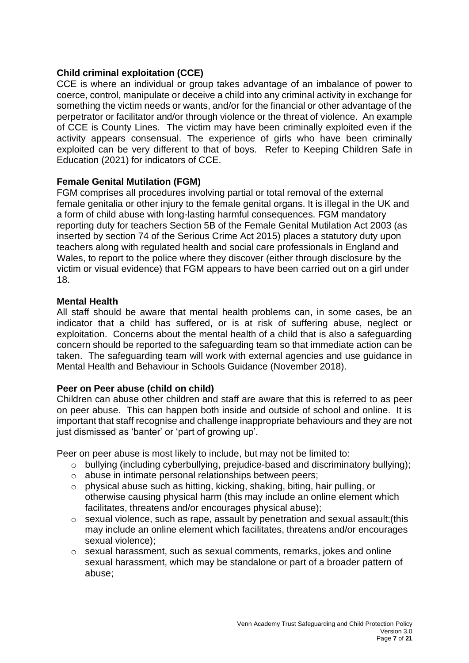# **Child criminal exploitation (CCE)**

CCE is where an individual or group takes advantage of an imbalance of power to coerce, control, manipulate or deceive a child into any criminal activity in exchange for something the victim needs or wants, and/or for the financial or other advantage of the perpetrator or facilitator and/or through violence or the threat of violence. An example of CCE is County Lines. The victim may have been criminally exploited even if the activity appears consensual. The experience of girls who have been criminally exploited can be very different to that of boys. Refer to Keeping Children Safe in Education (2021) for indicators of CCE.

#### **Female Genital Mutilation (FGM)**

FGM comprises all procedures involving partial or total removal of the external female genitalia or other injury to the female genital organs. It is illegal in the UK and a form of child abuse with long-lasting harmful consequences. FGM mandatory reporting duty for teachers Section 5B of the Female Genital Mutilation Act 2003 (as inserted by section 74 of the Serious Crime Act 2015) places a statutory duty upon teachers along with regulated health and social care professionals in England and Wales, to report to the police where they discover (either through disclosure by the victim or visual evidence) that FGM appears to have been carried out on a girl under 18.

#### **Mental Health**

All staff should be aware that mental health problems can, in some cases, be an indicator that a child has suffered, or is at risk of suffering abuse, neglect or exploitation. Concerns about the mental health of a child that is also a safeguarding concern should be reported to the safeguarding team so that immediate action can be taken. The safeguarding team will work with external agencies and use guidance in Mental Health and Behaviour in Schools Guidance (November 2018).

#### **Peer on Peer abuse (child on child)**

Children can abuse other children and staff are aware that this is referred to as peer on peer abuse. This can happen both inside and outside of school and online. It is important that staff recognise and challenge inappropriate behaviours and they are not just dismissed as 'banter' or 'part of growing up'.

Peer on peer abuse is most likely to include, but may not be limited to:

- o bullying (including cyberbullying, prejudice-based and discriminatory bullying);
- o abuse in intimate personal relationships between peers;
- o physical abuse such as hitting, kicking, shaking, biting, hair pulling, or otherwise causing physical harm (this may include an online element which facilitates, threatens and/or encourages physical abuse);
- o sexual violence, such as rape, assault by penetration and sexual assault;(this may include an online element which facilitates, threatens and/or encourages sexual violence);
- $\circ$  sexual harassment, such as sexual comments, remarks, jokes and online sexual harassment, which may be standalone or part of a broader pattern of abuse;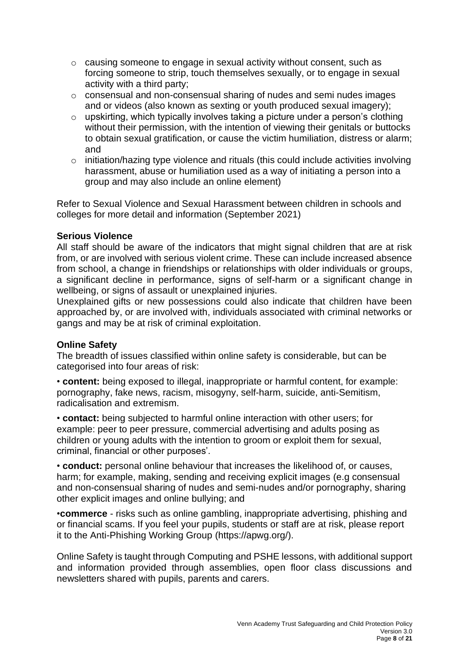- o causing someone to engage in sexual activity without consent, such as forcing someone to strip, touch themselves sexually, or to engage in sexual activity with a third party;
- o consensual and non-consensual sharing of nudes and semi nudes images and or videos (also known as sexting or youth produced sexual imagery);
- o upskirting, which typically involves taking a picture under a person's clothing without their permission, with the intention of viewing their genitals or buttocks to obtain sexual gratification, or cause the victim humiliation, distress or alarm; and
- o initiation/hazing type violence and rituals (this could include activities involving harassment, abuse or humiliation used as a way of initiating a person into a group and may also include an online element)

Refer to Sexual Violence and Sexual Harassment between children in schools and colleges for more detail and information (September 2021)

#### **Serious Violence**

All staff should be aware of the indicators that might signal children that are at risk from, or are involved with serious violent crime. These can include increased absence from school, a change in friendships or relationships with older individuals or groups, a significant decline in performance, signs of self-harm or a significant change in wellbeing, or signs of assault or unexplained injuries.

Unexplained gifts or new possessions could also indicate that children have been approached by, or are involved with, individuals associated with criminal networks or gangs and may be at risk of criminal exploitation.

#### **Online Safety**

The breadth of issues classified within online safety is considerable, but can be categorised into four areas of risk:

• **content:** being exposed to illegal, inappropriate or harmful content, for example: pornography, fake news, racism, misogyny, self-harm, suicide, anti-Semitism, radicalisation and extremism.

• **contact:** being subjected to harmful online interaction with other users; for example: peer to peer pressure, commercial advertising and adults posing as children or young adults with the intention to groom or exploit them for sexual, criminal, financial or other purposes'.

• **conduct:** personal online behaviour that increases the likelihood of, or causes, harm; for example, making, sending and receiving explicit images (e.g consensual and non-consensual sharing of nudes and semi-nudes and/or pornography, sharing other explicit images and online bullying; and

•**commerce** - risks such as online gambling, inappropriate advertising, phishing and or financial scams. If you feel your pupils, students or staff are at risk, please report it to the Anti-Phishing Working Group (https://apwg.org/).

Online Safety is taught through Computing and PSHE lessons, with additional support and information provided through assemblies, open floor class discussions and newsletters shared with pupils, parents and carers.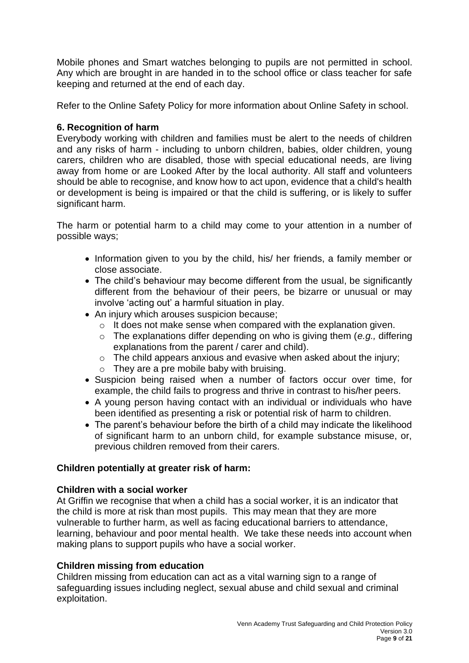Mobile phones and Smart watches belonging to pupils are not permitted in school. Any which are brought in are handed in to the school office or class teacher for safe keeping and returned at the end of each day.

Refer to the Online Safety Policy for more information about Online Safety in school.

# **6. Recognition of harm**

Everybody working with children and families must be alert to the needs of children and any risks of harm - including to unborn children, babies, older children, young carers, children who are disabled, those with special educational needs, are living away from home or are Looked After by the local authority. All staff and volunteers should be able to recognise, and know how to act upon, evidence that a child's health or development is being is impaired or that the child is suffering, or is likely to suffer significant harm.

The harm or potential harm to a child may come to your attention in a number of possible ways;

- Information given to you by the child, his/ her friends, a family member or close associate.
- The child's behaviour may become different from the usual, be significantly different from the behaviour of their peers, be bizarre or unusual or may involve 'acting out' a harmful situation in play.
- An injury which arouses suspicion because;
	- o It does not make sense when compared with the explanation given.
	- o The explanations differ depending on who is giving them (*e.g.,* differing explanations from the parent / carer and child).
	- $\circ$  The child appears anxious and evasive when asked about the injury;
	- $\circ$  They are a pre mobile baby with bruising.
- Suspicion being raised when a number of factors occur over time, for example, the child fails to progress and thrive in contrast to his/her peers.
- A young person having contact with an individual or individuals who have been identified as presenting a risk or potential risk of harm to children.
- The parent's behaviour before the birth of a child may indicate the likelihood of significant harm to an unborn child, for example substance misuse, or, previous children removed from their carers.

#### **Children potentially at greater risk of harm:**

#### **Children with a social worker**

At Griffin we recognise that when a child has a social worker, it is an indicator that the child is more at risk than most pupils. This may mean that they are more vulnerable to further harm, as well as facing educational barriers to attendance, learning, behaviour and poor mental health. We take these needs into account when making plans to support pupils who have a social worker.

#### **Children missing from education**

Children missing from education can act as a vital warning sign to a range of safeguarding issues including neglect, sexual abuse and child sexual and criminal exploitation.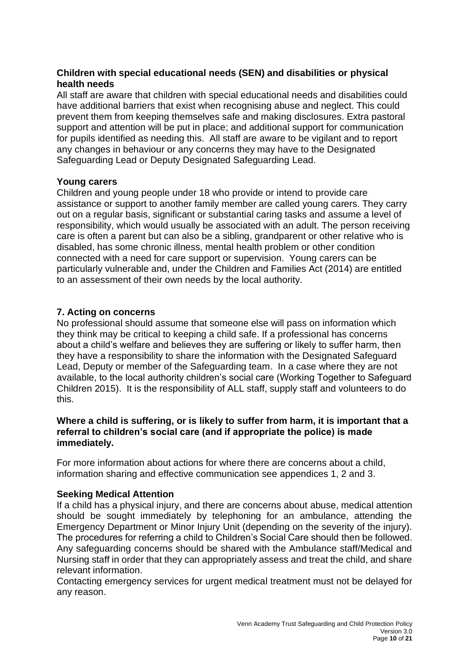# **Children with special educational needs (SEN) and disabilities or physical health needs**

All staff are aware that children with special educational needs and disabilities could have additional barriers that exist when recognising abuse and neglect. This could prevent them from keeping themselves safe and making disclosures. Extra pastoral support and attention will be put in place; and additional support for communication for pupils identified as needing this. All staff are aware to be vigilant and to report any changes in behaviour or any concerns they may have to the Designated Safeguarding Lead or Deputy Designated Safeguarding Lead.

## **Young carers**

Children and young people under 18 who provide or intend to provide care assistance or support to another family member are called young carers. They carry out on a regular basis, significant or substantial caring tasks and assume a level of responsibility, which would usually be associated with an adult. The person receiving care is often a parent but can also be a sibling, grandparent or other relative who is disabled, has some chronic illness, mental health problem or other condition connected with a need for care support or supervision. Young carers can be particularly vulnerable and, under the Children and Families Act (2014) are entitled to an assessment of their own needs by the local authority.

## **7. Acting on concerns**

No professional should assume that someone else will pass on information which they think may be critical to keeping a child safe. If a professional has concerns about a child's welfare and believes they are suffering or likely to suffer harm, then they have a responsibility to share the information with the Designated Safeguard Lead, Deputy or member of the Safeguarding team. In a case where they are not available, to the local authority children's social care (Working Together to Safeguard Children 2015). It is the responsibility of ALL staff, supply staff and volunteers to do this.

#### **Where a child is suffering, or is likely to suffer from harm, it is important that a referral to children's social care (and if appropriate the police) is made immediately.**

For more information about actions for where there are concerns about a child, information sharing and effective communication see appendices 1, 2 and 3.

# **Seeking Medical Attention**

If a child has a physical injury, and there are concerns about abuse, medical attention should be sought immediately by telephoning for an ambulance, attending the Emergency Department or Minor Injury Unit (depending on the severity of the injury). The procedures for referring a child to Children's Social Care should then be followed. Any safeguarding concerns should be shared with the Ambulance staff/Medical and Nursing staff in order that they can appropriately assess and treat the child, and share relevant information.

Contacting emergency services for urgent medical treatment must not be delayed for any reason.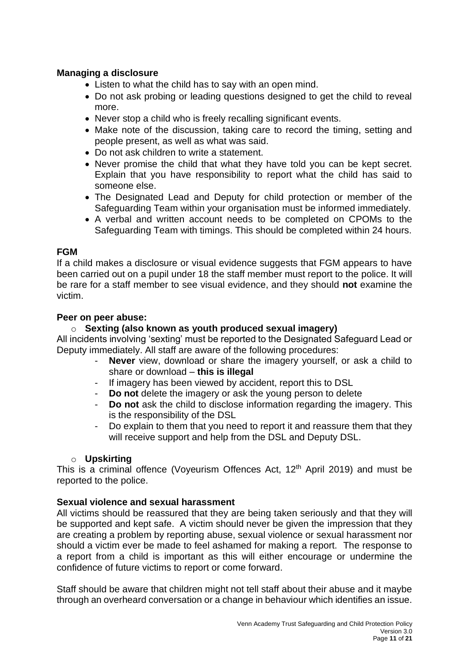## **Managing a disclosure**

- Listen to what the child has to say with an open mind.
- Do not ask probing or leading questions designed to get the child to reveal more.
- Never stop a child who is freely recalling significant events.
- Make note of the discussion, taking care to record the timing, setting and people present, as well as what was said.
- Do not ask children to write a statement.
- Never promise the child that what they have told you can be kept secret. Explain that you have responsibility to report what the child has said to someone else.
- The Designated Lead and Deputy for child protection or member of the Safeguarding Team within your organisation must be informed immediately.
- A verbal and written account needs to be completed on CPOMs to the Safeguarding Team with timings. This should be completed within 24 hours.

#### **FGM**

If a child makes a disclosure or visual evidence suggests that FGM appears to have been carried out on a pupil under 18 the staff member must report to the police. It will be rare for a staff member to see visual evidence, and they should **not** examine the victim.

#### **Peer on peer abuse:**

## o **Sexting (also known as youth produced sexual imagery)**

All incidents involving 'sexting' must be reported to the Designated Safeguard Lead or Deputy immediately. All staff are aware of the following procedures:

- **Never** view, download or share the imagery yourself, or ask a child to share or download – **this is illegal**
- If imagery has been viewed by accident, report this to DSL
- **Do not** delete the imagery or ask the young person to delete
- **Do not** ask the child to disclose information regarding the imagery. This is the responsibility of the DSL
- Do explain to them that you need to report it and reassure them that they will receive support and help from the DSL and Deputy DSL.

#### o **Upskirting**

This is a criminal offence (Voyeurism Offences Act, 12<sup>th</sup> April 2019) and must be reported to the police.

#### **Sexual violence and sexual harassment**

All victims should be reassured that they are being taken seriously and that they will be supported and kept safe. A victim should never be given the impression that they are creating a problem by reporting abuse, sexual violence or sexual harassment nor should a victim ever be made to feel ashamed for making a report. The response to a report from a child is important as this will either encourage or undermine the confidence of future victims to report or come forward.

Staff should be aware that children might not tell staff about their abuse and it maybe through an overheard conversation or a change in behaviour which identifies an issue.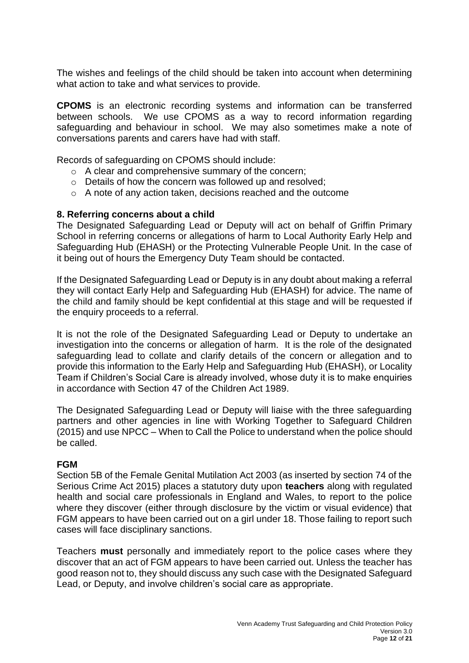The wishes and feelings of the child should be taken into account when determining what action to take and what services to provide.

**CPOMS** is an electronic recording systems and information can be transferred between schools. We use CPOMS as a way to record information regarding safeguarding and behaviour in school. We may also sometimes make a note of conversations parents and carers have had with staff.

Records of safeguarding on CPOMS should include:

- o A clear and comprehensive summary of the concern;
- o Details of how the concern was followed up and resolved;
- o A note of any action taken, decisions reached and the outcome

#### **8. Referring concerns about a child**

The Designated Safeguarding Lead or Deputy will act on behalf of Griffin Primary School in referring concerns or allegations of harm to Local Authority Early Help and Safeguarding Hub (EHASH) or the Protecting Vulnerable People Unit. In the case of it being out of hours the Emergency Duty Team should be contacted.

If the Designated Safeguarding Lead or Deputy is in any doubt about making a referral they will contact Early Help and Safeguarding Hub (EHASH) for advice. The name of the child and family should be kept confidential at this stage and will be requested if the enquiry proceeds to a referral.

It is not the role of the Designated Safeguarding Lead or Deputy to undertake an investigation into the concerns or allegation of harm. It is the role of the designated safeguarding lead to collate and clarify details of the concern or allegation and to provide this information to the Early Help and Safeguarding Hub (EHASH), or Locality Team if Children's Social Care is already involved, whose duty it is to make enquiries in accordance with Section 47 of the Children Act 1989.

The Designated Safeguarding Lead or Deputy will liaise with the three safeguarding partners and other agencies in line with Working Together to Safeguard Children (2015) and use NPCC – When to Call the Police to understand when the police should be called.

#### **FGM**

Section 5B of the Female Genital Mutilation Act 2003 (as inserted by section 74 of the Serious Crime Act 2015) places a statutory duty upon **teachers** along with regulated health and social care professionals in England and Wales, to report to the police where they discover (either through disclosure by the victim or visual evidence) that FGM appears to have been carried out on a girl under 18. Those failing to report such cases will face disciplinary sanctions.

Teachers **must** personally and immediately report to the police cases where they discover that an act of FGM appears to have been carried out. Unless the teacher has good reason not to, they should discuss any such case with the Designated Safeguard Lead, or Deputy, and involve children's social care as appropriate.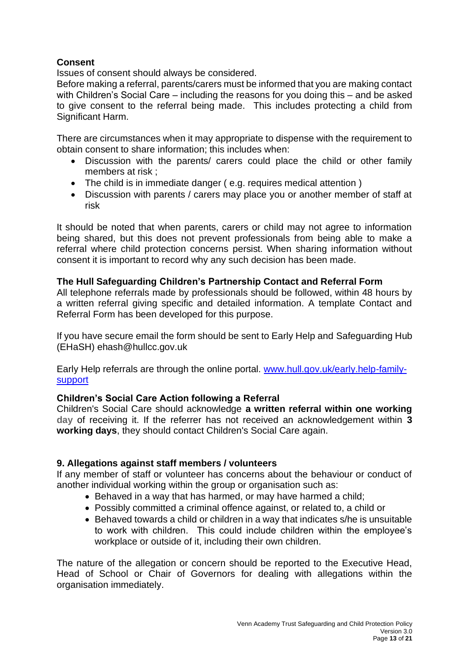# **Consent**

Issues of consent should always be considered.

Before making a referral, parents/carers must be informed that you are making contact with Children's Social Care – including the reasons for you doing this – and be asked to give consent to the referral being made. This includes protecting a child from Significant Harm.

There are circumstances when it may appropriate to dispense with the requirement to obtain consent to share information; this includes when:

- Discussion with the parents/ carers could place the child or other family members at risk ;
- The child is in immediate danger (e.g. requires medical attention)
- Discussion with parents / carers may place you or another member of staff at risk

It should be noted that when parents, carers or child may not agree to information being shared, but this does not prevent professionals from being able to make a referral where child protection concerns persist. When sharing information without consent it is important to record why any such decision has been made.

#### **The Hull Safeguarding Children's Partnership Contact and Referral Form**

All telephone referrals made by professionals should be followed, within 48 hours by a written referral giving specific and detailed information. A template Contact and Referral Form has been developed for this purpose.

If you have secure email the form should be sent to Early Help and Safeguarding Hub (EHaSH) ehash@hullcc.gov.uk

Early Help referrals are through the online portal. [www.hull.gov.uk/early.help-family](http://www.hull.gov.uk/early.help-family-support)[support](http://www.hull.gov.uk/early.help-family-support)

#### **Children's Social Care Action following a Referral**

Children's Social Care should acknowledge **a written referral within one working day** of receiving it. If the referrer has not received an acknowledgement within **3 working days**, they should contact Children's Social Care again.

#### **9. Allegations against staff members / volunteers**

If any member of staff or volunteer has concerns about the behaviour or conduct of another individual working within the group or organisation such as:

- Behaved in a way that has harmed, or may have harmed a child;
- Possibly committed a criminal offence against, or related to, a child or
- Behaved towards a child or children in a way that indicates s/he is unsuitable to work with children. This could include children within the employee's workplace or outside of it, including their own children.

The nature of the allegation or concern should be reported to the Executive Head, Head of School or Chair of Governors for dealing with allegations within the organisation immediately.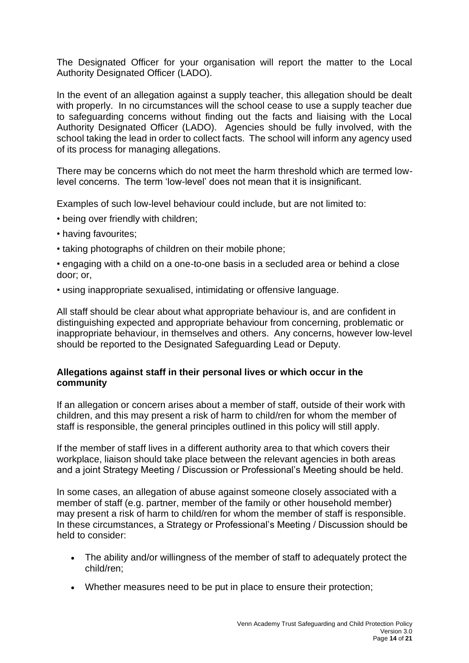The Designated Officer for your organisation will report the matter to the Local Authority Designated Officer (LADO).

In the event of an allegation against a supply teacher, this allegation should be dealt with properly. In no circumstances will the school cease to use a supply teacher due to safeguarding concerns without finding out the facts and liaising with the Local Authority Designated Officer (LADO). Agencies should be fully involved, with the school taking the lead in order to collect facts. The school will inform any agency used of its process for managing allegations.

There may be concerns which do not meet the harm threshold which are termed lowlevel concerns. The term 'low-level' does not mean that it is insignificant.

Examples of such low-level behaviour could include, but are not limited to:

- being over friendly with children;
- having favourites;
- taking photographs of children on their mobile phone;

• engaging with a child on a one-to-one basis in a secluded area or behind a close door; or,

• using inappropriate sexualised, intimidating or offensive language.

All staff should be clear about what appropriate behaviour is, and are confident in distinguishing expected and appropriate behaviour from concerning, problematic or inappropriate behaviour, in themselves and others. Any concerns, however low-level should be reported to the Designated Safeguarding Lead or Deputy.

## **Allegations against staff in their personal lives or which occur in the community**

If an allegation or concern arises about a member of staff, outside of their work with children, and this may present a risk of harm to child/ren for whom the member of staff is responsible, the general principles outlined in this policy will still apply.

If the member of staff lives in a different authority area to that which covers their workplace, liaison should take place between the relevant agencies in both areas and a joint Strategy Meeting / Discussion or Professional's Meeting should be held.

In some cases, an allegation of abuse against someone closely associated with a member of staff (e.g. partner, member of the family or other household member) may present a risk of harm to child/ren for whom the member of staff is responsible. In these circumstances, a Strategy or Professional's Meeting / Discussion should be held to consider:

- The ability and/or willingness of the member of staff to adequately protect the child/ren;
- Whether measures need to be put in place to ensure their protection;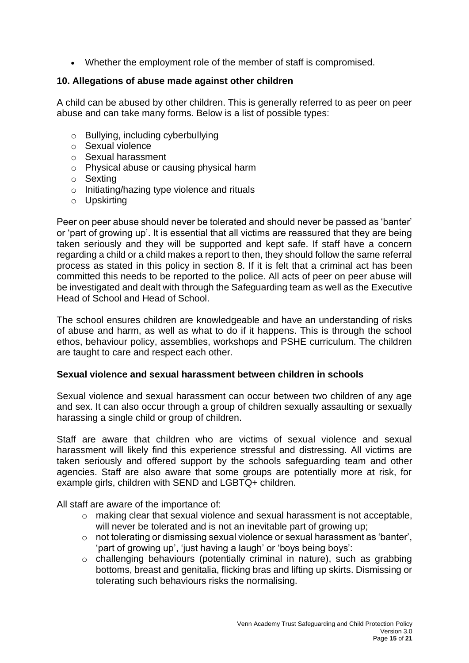• Whether the employment role of the member of staff is compromised.

## **10. Allegations of abuse made against other children**

A child can be abused by other children. This is generally referred to as peer on peer abuse and can take many forms. Below is a list of possible types:

- o Bullying, including cyberbullying
- o Sexual violence
- o Sexual harassment
- o Physical abuse or causing physical harm
- o Sexting
- o Initiating/hazing type violence and rituals
- o Upskirting

Peer on peer abuse should never be tolerated and should never be passed as 'banter' or 'part of growing up'. It is essential that all victims are reassured that they are being taken seriously and they will be supported and kept safe. If staff have a concern regarding a child or a child makes a report to then, they should follow the same referral process as stated in this policy in section 8. If it is felt that a criminal act has been committed this needs to be reported to the police. All acts of peer on peer abuse will be investigated and dealt with through the Safeguarding team as well as the Executive Head of School and Head of School.

The school ensures children are knowledgeable and have an understanding of risks of abuse and harm, as well as what to do if it happens. This is through the school ethos, behaviour policy, assemblies, workshops and PSHE curriculum. The children are taught to care and respect each other.

#### **Sexual violence and sexual harassment between children in schools**

Sexual violence and sexual harassment can occur between two children of any age and sex. It can also occur through a group of children sexually assaulting or sexually harassing a single child or group of children.

Staff are aware that children who are victims of sexual violence and sexual harassment will likely find this experience stressful and distressing. All victims are taken seriously and offered support by the schools safeguarding team and other agencies. Staff are also aware that some groups are potentially more at risk, for example girls, children with SEND and LGBTQ+ children.

All staff are aware of the importance of:

- o making clear that sexual violence and sexual harassment is not acceptable, will never be tolerated and is not an inevitable part of growing up;
- o not tolerating or dismissing sexual violence or sexual harassment as 'banter', 'part of growing up', 'just having a laugh' or 'boys being boys':
- o challenging behaviours (potentially criminal in nature), such as grabbing bottoms, breast and genitalia, flicking bras and lifting up skirts. Dismissing or tolerating such behaviours risks the normalising.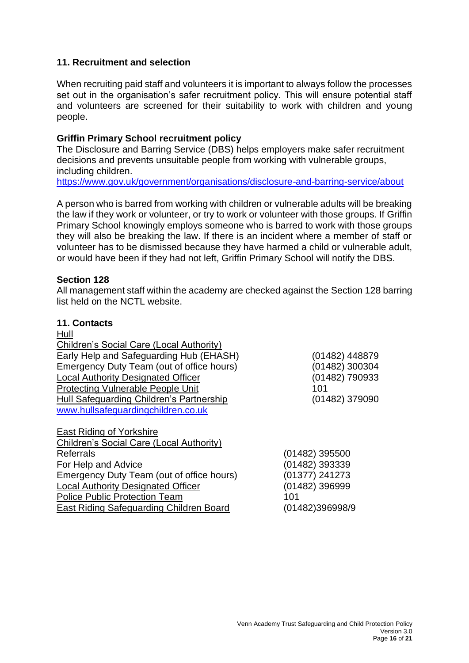# **11. Recruitment and selection**

When recruiting paid staff and volunteers it is important to always follow the processes set out in the organisation's safer recruitment policy. This will ensure potential staff and volunteers are screened for their suitability to work with children and young people.

## **Griffin Primary School recruitment policy**

The Disclosure and Barring Service (DBS) helps employers make safer recruitment decisions and prevents unsuitable people from working with vulnerable groups, including children.

<https://www.gov.uk/government/organisations/disclosure-and-barring-service/about>

A person who is barred from working with children or vulnerable adults will be breaking the law if they work or volunteer, or try to work or volunteer with those groups. If Griffin Primary School knowingly employs someone who is barred to work with those groups they will also be breaking the law. If there is an incident where a member of staff or volunteer has to be dismissed because they have harmed a child or vulnerable adult, or would have been if they had not left, Griffin Primary School will notify the DBS.

#### **Section 128**

All management staff within the academy are checked against the Section 128 barring list held on the NCTL website.

#### **11. Contacts**

Hull Children's Social Care (Local Authority) Early Help and Safeguarding Hub (EHASH) (01482) 448879 Emergency Duty Team (out of office hours) (01482) 300304 Local Authority Designated Officer (01482) 790933 Protecting Vulnerable People Unit 101 Hull Safeguarding Children's Partnership (01482) 379090 [www.hullsafeguardingchildren.co.uk](http://www.hullsafeguardingchildren.co.uk/)

| www.hullsafequardingchildren.co.uk        |                 |
|-------------------------------------------|-----------------|
| <b>East Riding of Yorkshire</b>           |                 |
| Children's Social Care (Local Authority)  |                 |
| <b>Referrals</b>                          | (01482) 395500  |
| For Help and Advice                       | (01482) 393339  |
| Emergency Duty Team (out of office hours) | (01377) 241273  |
| <b>Local Authority Designated Officer</b> | (01482) 396999  |
| <b>Police Public Protection Team</b>      | 101             |
| East Riding Safeguarding Children Board   | (01482)396998/9 |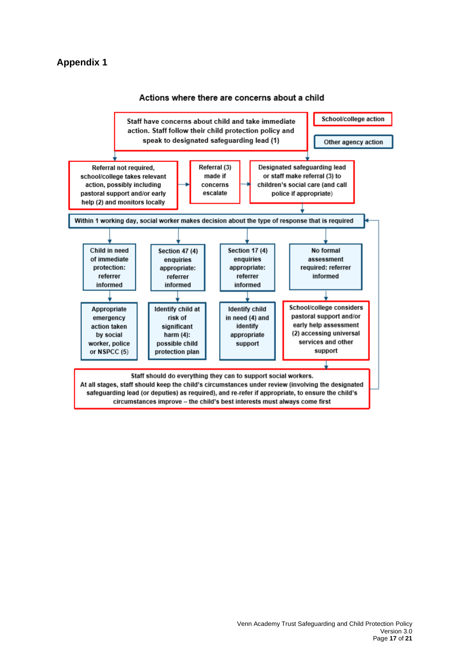# **Appendix 1**



safeguarding lead (or deputies) as required), and re-refer if appropriate, to ensure the child's circumstances improve - the child's best interests must always come first

#### Actions where there are concerns about a child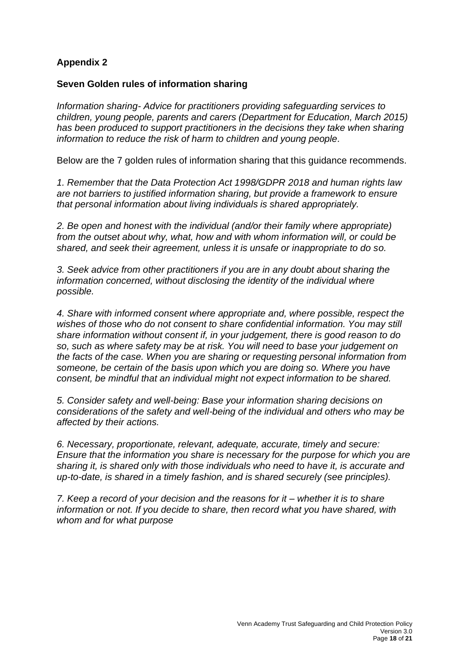# **Appendix 2**

#### **Seven Golden rules of information sharing**

*Information sharing- Advice for practitioners providing safeguarding services to children, young people, parents and carers (Department for Education, March 2015)*  has been produced to support practitioners in the decisions they take when sharing *information to reduce the risk of harm to children and young people.*

Below are the 7 golden rules of information sharing that this guidance recommends.

*1. Remember that the Data Protection Act 1998/GDPR 2018 and human rights law are not barriers to justified information sharing, but provide a framework to ensure that personal information about living individuals is shared appropriately.*

*2. Be open and honest with the individual (and/or their family where appropriate) from the outset about why, what, how and with whom information will, or could be shared, and seek their agreement, unless it is unsafe or inappropriate to do so.*

*3. Seek advice from other practitioners if you are in any doubt about sharing the information concerned, without disclosing the identity of the individual where possible.*

*4. Share with informed consent where appropriate and, where possible, respect the wishes of those who do not consent to share confidential information. You may still share information without consent if, in your judgement, there is good reason to do so, such as where safety may be at risk. You will need to base your judgement on the facts of the case. When you are sharing or requesting personal information from someone, be certain of the basis upon which you are doing so. Where you have consent, be mindful that an individual might not expect information to be shared.*

*5. Consider safety and well-being: Base your information sharing decisions on considerations of the safety and well-being of the individual and others who may be affected by their actions.*

*6. Necessary, proportionate, relevant, adequate, accurate, timely and secure: Ensure that the information you share is necessary for the purpose for which you are sharing it, is shared only with those individuals who need to have it, is accurate and up-to-date, is shared in a timely fashion, and is shared securely (see principles).*

*7. Keep a record of your decision and the reasons for it – whether it is to share information or not. If you decide to share, then record what you have shared, with whom and for what purpose*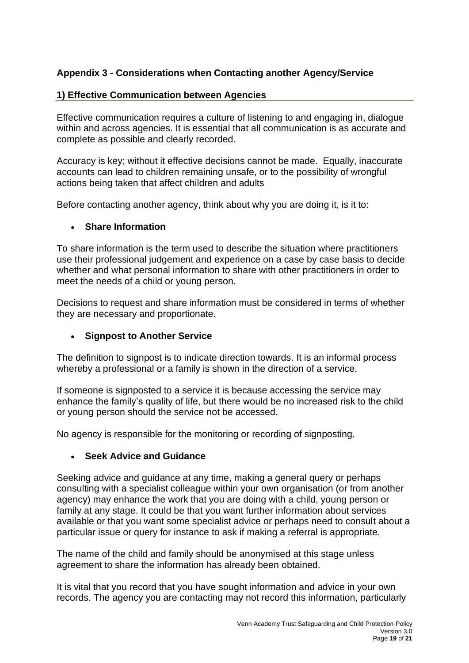# **Appendix 3 - Considerations when Contacting another Agency/Service**

# **1) Effective Communication between Agencies**

Effective communication requires a culture of listening to and engaging in, dialogue within and across agencies. It is essential that all communication is as accurate and complete as possible and clearly recorded.

Accuracy is key; without it effective decisions cannot be made. Equally, inaccurate accounts can lead to children remaining unsafe, or to the possibility of wrongful actions being taken that affect children and adults

Before contacting another agency, think about why you are doing it, is it to:

# • **Share Information**

To share information is the term used to describe the situation where practitioners use their professional judgement and experience on a case by case basis to decide whether and what personal information to share with other practitioners in order to meet the needs of a child or young person.

Decisions to request and share information must be considered in terms of whether they are necessary and proportionate.

# • **Signpost to Another Service**

The definition to signpost is to indicate direction towards. It is an informal process whereby a professional or a family is shown in the direction of a service.

If someone is signposted to a service it is because accessing the service may enhance the family's quality of life, but there would be no increased risk to the child or young person should the service not be accessed.

No agency is responsible for the monitoring or recording of signposting.

#### • **Seek Advice and Guidance**

Seeking advice and guidance at any time, making a general query or perhaps consulting with a specialist colleague within your own organisation (or from another agency) may enhance the work that you are doing with a child, young person or family at any stage. It could be that you want further information about services available or that you want some specialist advice or perhaps need to consult about a particular issue or query for instance to ask if making a referral is appropriate.

The name of the child and family should be anonymised at this stage unless agreement to share the information has already been obtained.

It is vital that you record that you have sought information and advice in your own records. The agency you are contacting may not record this information, particularly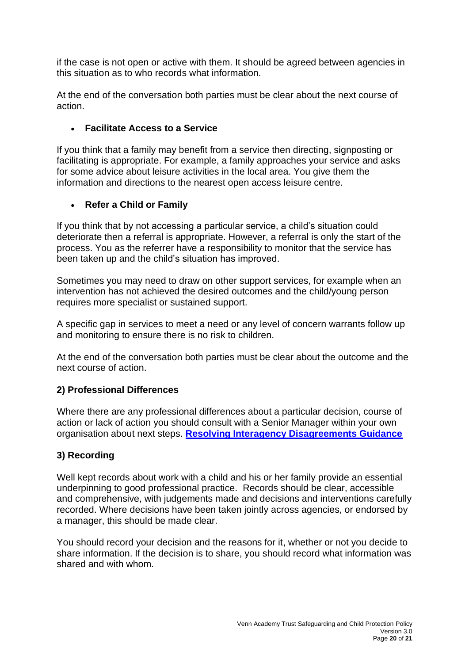if the case is not open or active with them. It should be agreed between agencies in this situation as to who records what information.

At the end of the conversation both parties must be clear about the next course of action.

# • **Facilitate Access to a Service**

If you think that a family may benefit from a service then directing, signposting or facilitating is appropriate. For example, a family approaches your service and asks for some advice about leisure activities in the local area. You give them the information and directions to the nearest open access leisure centre.

# • **Refer a Child or Family**

If you think that by not accessing a particular service, a child's situation could deteriorate then a referral is appropriate. However, a referral is only the start of the process. You as the referrer have a responsibility to monitor that the service has been taken up and the child's situation has improved.

Sometimes you may need to draw on other support services, for example when an intervention has not achieved the desired outcomes and the child/young person requires more specialist or sustained support.

A specific gap in services to meet a need or any level of concern warrants follow up and monitoring to ensure there is no risk to children.

At the end of the conversation both parties must be clear about the outcome and the next course of action.

# **2) Professional Differences**

Where there are any professional differences about a particular decision, course of action or lack of action you should consult with a Senior Manager within your own organisation about next steps. **[Resolving Interagency Disagreements Guidance](http://hullscb.proceduresonline.com/chapters/p_resolving.html)**

# **3) Recording**

Well kept records about work with a child and his or her family provide an essential underpinning to good professional practice. Records should be clear, accessible and comprehensive, with judgements made and decisions and interventions carefully recorded. Where decisions have been taken jointly across agencies, or endorsed by a manager, this should be made clear.

You should record your decision and the reasons for it, whether or not you decide to share information. If the decision is to share, you should record what information was shared and with whom.